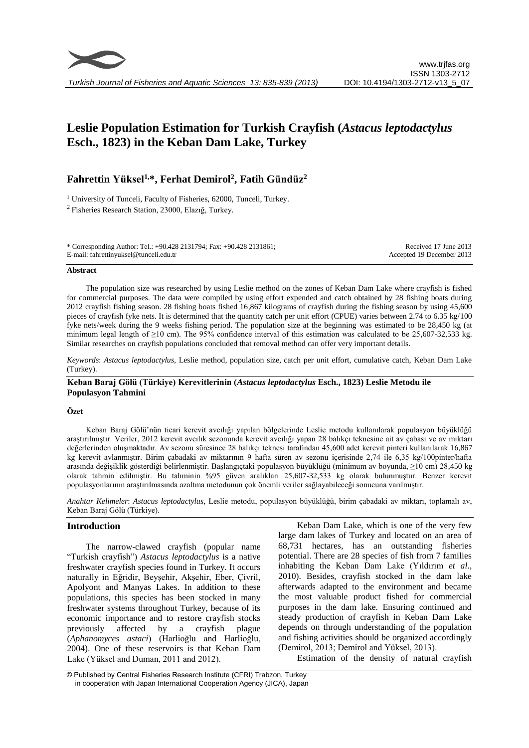

# **Leslie Population Estimation for Turkish Crayfish (***Astacus leptodactylus* **Esch., 1823) in the Keban Dam Lake, Turkey**

# **Fahrettin Yüksel1,\*, Ferhat Demirol<sup>2</sup> , Fatih Gündüz<sup>2</sup>**

<sup>1</sup> University of Tunceli, Faculty of Fisheries, 62000, Tunceli, Turkey.  $2$ Fisheries Research Station, 23000, Elazığ, Turkey.

\* Corresponding Author: Tel.: +90.428 2131794; Fax: +90.428 2131861; E-mail: fahrettinyuksel@tunceli.edu.tr

Received 17 June 2013 Accepted 19 December 2013

#### **Abstract**

The population size was researched by using Leslie method on the zones of Keban Dam Lake where crayfish is fished for commercial purposes. The data were compiled by using effort expended and catch obtained by 28 fishing boats during 2012 crayfish fishing season. 28 fishing boats fished 16,867 kilograms of crayfish during the fishing season by using 45,600 pieces of crayfish fyke nets. It is determined that the quantity catch per unit effort (CPUE) varies between 2.74 to 6.35 kg/100 fyke nets/week during the 9 weeks fishing period. The population size at the beginning was estimated to be 28,450 kg (at minimum legal length of  $\geq$ 10 cm). The 95% confidence interval of this estimation was calculated to be 25,607-32,533 kg. Similar researches on crayfish populations concluded that removal method can offer very important details.

*Keywords*: *Astacus leptodactylus*, Leslie method, population size, catch per unit effort, cumulative catch, Keban Dam Lake (Turkey).

# **Keban Baraj Gölü (Türkiye) Kerevitlerinin (***Astacus leptodactylus* **Esch., 1823) Leslie Metodu ile Populasyon Tahmini**

#### **Özet**

Keban Baraj Gölü'nün ticari kerevit avcılığı yapılan bölgelerinde Leslie metodu kullanılarak populasyon büyüklüğü araştırılmıştır. Veriler, 2012 kerevit avcılık sezonunda kerevit avcılığı yapan 28 balıkçı teknesine ait av çabası ve av miktarı değerlerinden oluşmaktadır. Av sezonu süresince 28 balıkçı teknesi tarafından 45,600 adet kerevit pinteri kullanılarak 16,867 kg kerevit avlanmıştır. Birim çabadaki av miktarının 9 hafta süren av sezonu içerisinde 2,74 ile 6,35 kg/100pinter/hafta arasında değişiklik gösterdiği belirlenmiştir. Başlangıçtaki populasyon büyüklüğü (minimum av boyunda, ≥10 cm) 28,450 kg olarak tahmin edilmiştir. Bu tahminin %95 güven aralıkları 25,607-32,533 kg olarak bulunmuştur. Benzer kerevit populasyonlarının araştırılmasında azaltma metodunun çok önemli veriler sağlayabileceği sonucuna varılmıştır.

*Anahtar Kelimeler*: *Astacus leptodactylus*, Leslie metodu, populasyon büyüklüğü, birim çabadaki av miktarı, toplamalı av, Keban Baraj Gölü (Türkiye).

# **Introduction**

The narrow-clawed crayfish (popular name "Turkish crayfish") *Astacus leptodactylus* is a native freshwater crayfish species found in Turkey. It occurs naturally in Eğridir, Beyşehir, Akşehir, Eber, Çivril, Apolyont and Manyas Lakes. In addition to these populations, this species has been stocked in many freshwater systems throughout Turkey, because of its economic importance and to restore crayfish stocks previously affected by a crayfish plague (*Aphanomyces astaci*) (Harlioğlu and Harlioğlu, 2004). One of these reservoirs is that Keban Dam Lake (Yüksel and Duman, 2011 and 2012).

Keban Dam Lake, which is one of the very few large dam lakes of Turkey and located on an area of 68,731 hectares, has an outstanding fisheries potential. There are 28 species of fish from 7 families inhabiting the Keban Dam Lake (Yıldırım *et al*., 2010). Besides, crayfish stocked in the dam lake afterwards adapted to the environment and became the most valuable product fished for commercial purposes in the dam lake. Ensuring continued and steady production of crayfish in Keban Dam Lake depends on through understanding of the population and fishing activities should be organized accordingly (Demirol, 2013; Demirol and Yüksel, 2013).

Estimation of the density of natural crayfish

© Published by Central Fisheries Research Institute (CFRI) Trabzon, Turkey in cooperation with Japan International Cooperation Agency (JICA), Japan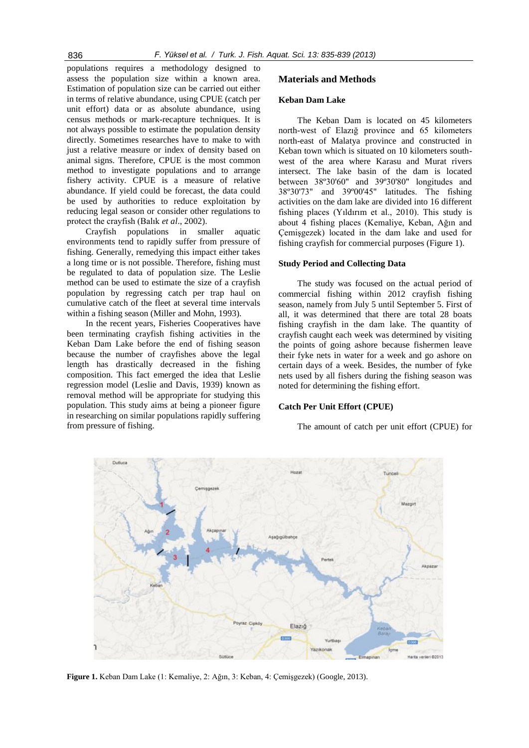populations requires a methodology designed to assess the population size within a known area. Estimation of population size can be carried out either in terms of relative abundance, using CPUE (catch per unit effort) data or as absolute abundance, using census methods or mark-recapture techniques. It is not always possible to estimate the population density directly. Sometimes researches have to make to with just a relative measure or index of density based on animal signs. Therefore, CPUE is the most common method to investigate populations and to arrange fishery activity. CPUE is a measure of relative abundance. If yield could be forecast, the data could be used by authorities to reduce exploitation by reducing legal season or consider other regulations to protect the crayfish (Balık *et al*., 2002).

Crayfish populations in smaller aquatic environments tend to rapidly suffer from pressure of fishing. Generally, remedying this impact either takes a long time or is not possible. Therefore, fishing must be regulated to data of population size. The Leslie method can be used to estimate the size of a crayfish population by regressing catch per trap haul on cumulative catch of the fleet at several time intervals within a fishing season (Miller and Mohn, 1993).

In the recent years, Fisheries Cooperatives have been terminating crayfish fishing activities in the Keban Dam Lake before the end of fishing season because the number of crayfishes above the legal length has drastically decreased in the fishing composition. This fact emerged the idea that Leslie regression model (Leslie and Davis, 1939) known as removal method will be appropriate for studying this population. This study aims at being a pioneer figure in researching on similar populations rapidly suffering from pressure of fishing.

# **Materials and Methods**

#### **Keban Dam Lake**

The Keban Dam is located on 45 kilometers north-west of Elazığ province and 65 kilometers north-east of Malatya province and constructed in Keban town which is situated on 10 kilometers southwest of the area where Karasu and Murat rivers intersect. The lake basin of the dam is located between 38º30'60" and 39º30'80" longitudes and 38º30'73" and 39º00'45" latitudes. The fishing activities on the dam lake are divided into 16 different fishing places (Yıldırım et al., 2010). This study is about 4 fishing places (Kemaliye, Keban, Ağın and Çemişgezek) located in the dam lake and used for fishing crayfish for commercial purposes (Figure 1).

### **Study Period and Collecting Data**

The study was focused on the actual period of commercial fishing within 2012 crayfish fishing season, namely from July 5 until September 5. First of all, it was determined that there are total 28 boats fishing crayfish in the dam lake. The quantity of crayfish caught each week was determined by visiting the points of going ashore because fishermen leave their fyke nets in water for a week and go ashore on certain days of a week. Besides, the number of fyke nets used by all fishers during the fishing season was noted for determining the fishing effort.

# **Catch Per Unit Effort (CPUE)**

The amount of catch per unit effort (CPUE) for



**Figure 1.** Keban Dam Lake (1: Kemaliye, 2: Ağın, 3: Keban, 4: Çemişgezek) (Google, 2013).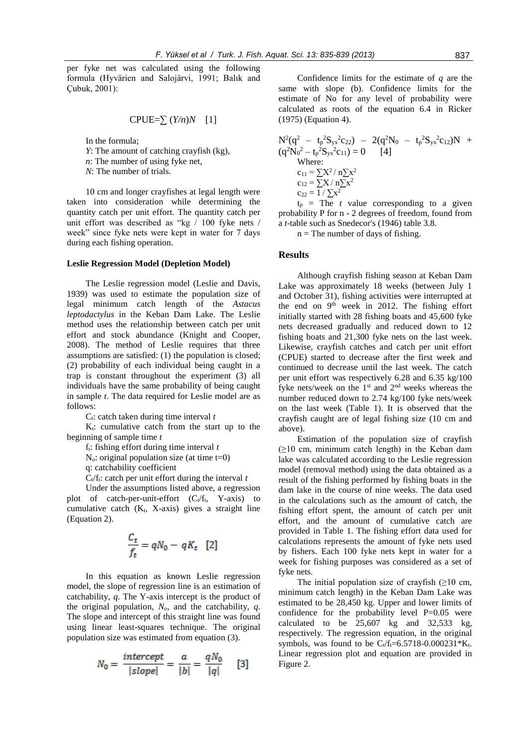per fyke net was calculated using the following formula (Hyvärien and Salojärvi, 1991; Balık and Çubuk, 2001):

$$
CPUE = \sum (Y/n)N \quad [1]
$$

In the formula;

- *Y*: The amount of catching crayfish (kg),
- *n*: The number of using fyke net.
- *N*: The number of trials.

10 cm and longer crayfishes at legal length were taken into consideration while determining the quantity catch per unit effort. The quantity catch per unit effort was described as "kg / 100 fyke nets / week" since fyke nets were kept in water for 7 days during each fishing operation.

#### **Leslie Regression Model (Depletion Model)**

The Leslie regression model (Leslie and Davis, 1939) was used to estimate the population size of legal minimum catch length of the *Astacus leptodactylus* in the Keban Dam Lake. The Leslie method uses the relationship between catch per unit effort and stock abundance (Knight and Cooper, 2008). The method of Leslie requires that three assumptions are satisfied: (1) the population is closed; (2) probability of each individual being caught in a trap is constant throughout the experiment (3) all individuals have the same probability of being caught in sample *t*. The data required for Leslie model are as follows:

C<sub>t</sub>: catch taken during time interval *t* 

 $K_t$ : cumulative catch from the start up to the beginning of sample time *t*

ft: fishing effort during time interval *t*

 $N<sub>o</sub>$ : original population size (at time t=0)

q: catchability coefficient

 $C_t$ <sup> $f_t$ </sup>: catch per unit effort during the interval *t* 

Under the assumptions listed above, a regression plot of catch-per-unit-effort  $(C_t/f_t, Y-axis)$  to cumulative catch  $(K_t, X\text{-axis})$  gives a straight line (Equation 2).

$$
\frac{C_t}{f_t} = qN_0 - qK_t \quad [2]
$$

In this equation as known Leslie regression model, the slope of regression line is an estimation of catchability, *q*. The Y-axis intercept is the product of the original population, *No*, and the catchability, *q*. The slope and intercept of this straight line was found using linear least-squares technique. The original population size was estimated from equation (3).

$$
N_0 = \frac{intercept}{|slope|} = \frac{a}{|b|} = \frac{qN_0}{|q|} \qquad [3]
$$

Confidence limits for the estimate of *q* are the same with slope (b). Confidence limits for the estimate of No for any level of probability were calculated as roots of the equation 6.4 in Ricker (1975) (Equation 4).

$$
N^{2}(q^{2} - t_{p}^{2}S_{yx}^{2}c_{22}) - 2(q^{2}N_{0} - t_{p}^{2}S_{yx}^{2}c_{12})N +
$$
  
\n
$$
(q^{2}N_{0}^{2} - t_{p}^{2}S_{yx}^{2}c_{11}) = 0
$$
\n[4]  
\nWhere:  
\n
$$
c_{11} = \sum X^{2} / n \sum x^{2}
$$
  
\n
$$
c_{12} = \sum X / n \sum x^{2}
$$
  
\n
$$
c_{22} = 1 / \sum x^{2}
$$

 $t<sub>p</sub>$  = The *t* value corresponding to a given probability P for n - 2 degrees of freedom, found from a *t*-table such as Snedecor's (1946) table 3.8.

 $n =$ The number of days of fishing.

#### **Results**

Although crayfish fishing season at Keban Dam Lake was approximately 18 weeks (between July 1 and October 31), fishing activities were interrupted at the end on 9<sup>th</sup> week in 2012. The fishing effort initially started with 28 fishing boats and 45,600 fyke nets decreased gradually and reduced down to 12 fishing boats and 21,300 fyke nets on the last week. Likewise, crayfish catches and catch per unit effort (CPUE) started to decrease after the first week and continued to decrease until the last week. The catch per unit effort was respectively 6.28 and 6.35 kg/100 fyke nets/week on the  $1<sup>st</sup>$  and  $2<sup>nd</sup>$  weeks whereas the number reduced down to 2.74 kg/100 fyke nets/week on the last week (Table 1). It is observed that the crayfish caught are of legal fishing size (10 cm and above).

Estimation of the population size of crayfish  $(\geq 10$  cm, minimum catch length) in the Keban dam lake was calculated according to the Leslie regression model (removal method) using the data obtained as a result of the fishing performed by fishing boats in the dam lake in the course of nine weeks. The data used in the calculations such as the amount of catch, the fishing effort spent, the amount of catch per unit effort, and the amount of cumulative catch are provided in Table 1. The fishing effort data used for calculations represents the amount of fyke nets used by fishers. Each 100 fyke nets kept in water for a week for fishing purposes was considered as a set of fyke nets.

The initial population size of crayfish  $(\geq 10 \text{ cm},$ minimum catch length) in the Keban Dam Lake was estimated to be 28,450 kg. Upper and lower limits of confidence for the probability level  $P=0.05$  were calculated to be 25,607 kg and 32,533 kg, respectively. The regression equation, in the original symbols, was found to be  $C_t/f_t=6.5718-0.000231*K_t$ . Linear regression plot and equation are provided in Figure 2.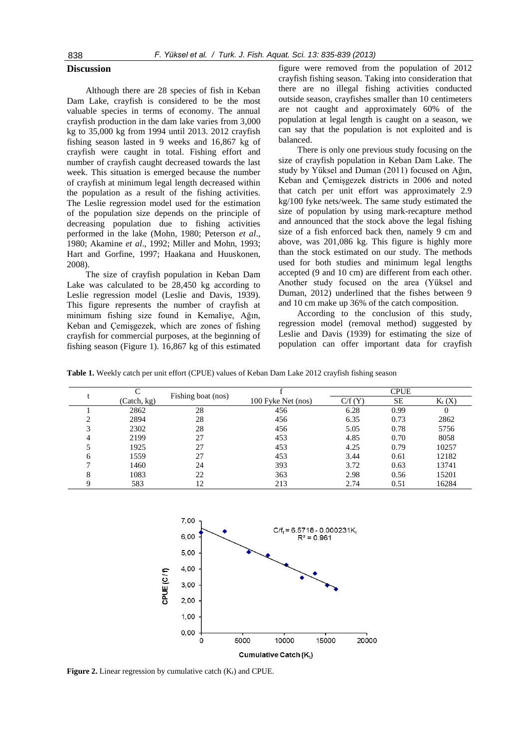#### **Discussion**

Although there are 28 species of fish in Keban Dam Lake, crayfish is considered to be the most valuable species in terms of economy. The annual crayfish production in the dam lake varies from 3,000 kg to 35,000 kg from 1994 until 2013. 2012 crayfish fishing season lasted in 9 weeks and 16,867 kg of crayfish were caught in total. Fishing effort and number of crayfish caught decreased towards the last week. This situation is emerged because the number of crayfish at minimum legal length decreased within the population as a result of the fishing activities. The Leslie regression model used for the estimation of the population size depends on the principle of decreasing population due to fishing activities performed in the lake (Mohn, 1980; Peterson *et al*., 1980; Akamine *et al*., 1992; Miller and Mohn, 1993; Hart and Gorfine, 1997; Haakana and Huuskonen, 2008).

The size of crayfish population in Keban Dam Lake was calculated to be 28,450 kg according to Leslie regression model (Leslie and Davis, 1939). This figure represents the number of crayfish at minimum fishing size found in Kemaliye, Ağın, Keban and Çemişgezek, which are zones of fishing crayfish for commercial purposes, at the beginning of fishing season (Figure 1). 16,867 kg of this estimated figure were removed from the population of 2012 crayfish fishing season. Taking into consideration that there are no illegal fishing activities conducted outside season, crayfishes smaller than 10 centimeters are not caught and approximately 60% of the population at legal length is caught on a season, we can say that the population is not exploited and is balanced.

There is only one previous study focusing on the size of crayfish population in Keban Dam Lake. The study by Yüksel and Duman (2011) focused on Ağın, Keban and Çemişgezek districts in 2006 and noted that catch per unit effort was approximately 2.9 kg/100 fyke nets/week. The same study estimated the size of population by using mark-recapture method and announced that the stock above the legal fishing size of a fish enforced back then, namely 9 cm and above, was 201,086 kg. This figure is highly more than the stock estimated on our study. The methods used for both studies and minimum legal lengths accepted (9 and 10 cm) are different from each other. Another study focused on the area (Yüksel and Duman, 2012) underlined that the fishes between 9 and 10 cm make up 36% of the catch composition.

According to the conclusion of this study, regression model (removal method) suggested by Leslie and Davis (1939) for estimating the size of population can offer important data for crayfish

**Table 1.** Weekly catch per unit effort (CPUE) values of Keban Dam Lake 2012 crayfish fishing season

|   |             | Fishing boat (nos) |                    | <b>CPUE</b>                    |      |            |
|---|-------------|--------------------|--------------------|--------------------------------|------|------------|
|   | (Catch, kg) |                    | 100 Fyke Net (nos) | $C\!/\mathrm{f}\,(\mathrm{Y})$ | SE   | $K_{t}(X)$ |
|   | 2862        | 28                 | 456                | 6.28                           | 0.99 | 0          |
|   | 2894        | 28                 | 456                | 6.35                           | 0.73 | 2862       |
| 3 | 2302        | 28                 | 456                | 5.05                           | 0.78 | 5756       |
|   | 2199        | 27                 | 453                | 4.85                           | 0.70 | 8058       |
|   | 1925        | 27                 | 453                | 4.25                           | 0.79 | 10257      |
| 6 | 1559        | 27                 | 453                | 3.44                           | 0.61 | 12182      |
|   | 1460        | 24                 | 393                | 3.72                           | 0.63 | 13741      |
| 8 | 1083        | 22                 | 363                | 2.98                           | 0.56 | 15201      |
|   | 583         | 12                 | 213                | 2.74                           | 0.51 | 16284      |



**Figure 2.** Linear regression by cumulative catch  $(K_t)$  and CPUE.